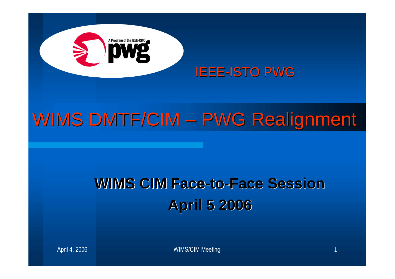

# WIMS DMTF/CIM - PWG Realignment

### **WIMS CIM Face-to-Face Session April 5 2006**

April 4, 2006 New York 1 and 2006 New York 1 and 2006 New York 1 and 2006 New York 1 and 2006 New York 1 and 20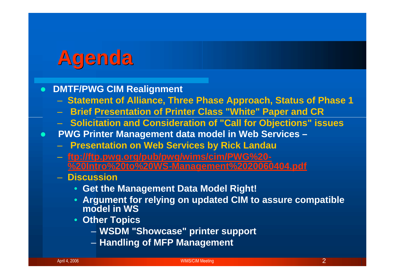# **Agenda**

#### **DMTF/PWG CIM Realignment**

- **Statement of Alliance, Three Phase Approach, Status of Phase 1**
- **Brief Presentation of Printer Class "White" Paper and CR**
- **Solicitation and Consideration of "Call for Objections" issues**
- **PWG Printer Management data model in Web Services –**
	- **Presentation on Web Services by Rick Landau**
	- **ftp://ftp.pwg.org/pub/pwg/wims/cim/PWG%20- %20Intro%20to%20WS-Management%2020060404.pdf**
	- **Discussion**
		- **Get the Management Data Model Right!**
		- **Argument for relying on updated CIM to assure compatible model in WS**
		- **Other Topics**
			- **WSDM "Showcase" printer support**
			- **Handling of MFP Management**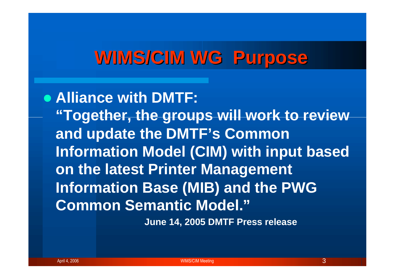### **WIMS/CIM WG Purpose**

**Alliance with DMTF: "Together, the groups will work to review and update the DMTF's Common Information Model (CIM) with input based on the latest Printer Management Information Base (MIB) and the PWG Common Semantic Model."**

**June 14, 2005 DMTF Press release**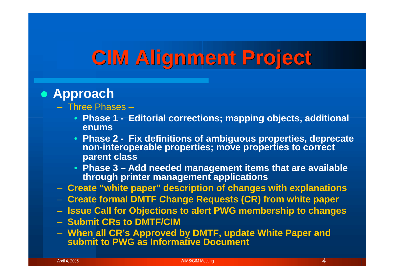# **CIM Alignment Project**

### **Approach**

- Three Phases
	- **Phase 1 - Editorial corrections; mapping objects, additional enums**
	- **Phase 2 - Fix definitions of ambiguous properties, deprecate non-interoperable properties; move properties to correct parent class**
	- **Phase 3 – Add needed management items that are available through printer management applications**
- **Create "white paper" description of changes with explanations**
- **Create formal DMTF Change Requests (CR) from white paper**
- **Issue Call for Objections to alert PWG membership to changes**
- **Submit CRs to DMTF/CIM**
- **When all CR's Approved by DMTF, update White Paper and submit to PWG as Informative Document**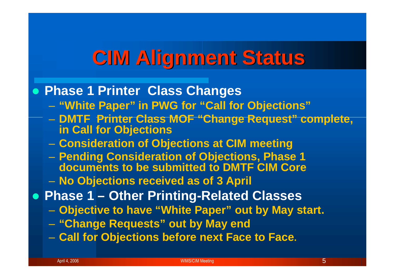# **CIM Alignment Status**

#### **Phase 1 Printer Class Changes**

- **"White Paper" in PWG for "Call for Objections"**
- **DMTF Printer Class MOF "Change Request" complete, in Call for Objections**
- **Consideration of Objections at CIM meeting**
- **Pending Consideration of Objections, Phase 1 documents to be submitted to DMTF CIM Core**
- **No Objections received as of 3 April**
- **Phase 1 – Other Printing-Related Classes**
	- **Objective to have "White Paper" out by May start.**
	- **"Change Requests" out by May end**
	- **Call for Objections before next Face to Face.**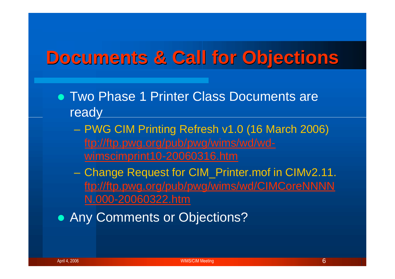### **Documents & Call for Objections**

- Two Phase 1 Printer Class Documents are ready
	- PWG CIM Printing Refresh v1.0 (16 March 2006) ftp://ftp.pwg.org/pub/pwg/wims/wd/wdwimscimprint10-20060316.htm
	- Change Request for CIM\_Printer.mof in CIMv2.11. ftp://ftp.pwg.org/pub/pwg/wims/wd/CIMCoreNNNN N.000-20060322.htm
- **Any Comments or Objections?**